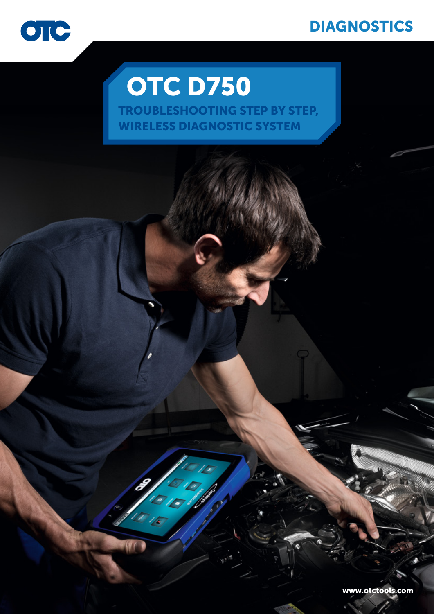### **DIAGNOSTICS**



## **OTC D750**

Z.

TROUBLESHOOTING STEP BY STEP, WIRELESS DIAGNOSTIC SYSTEM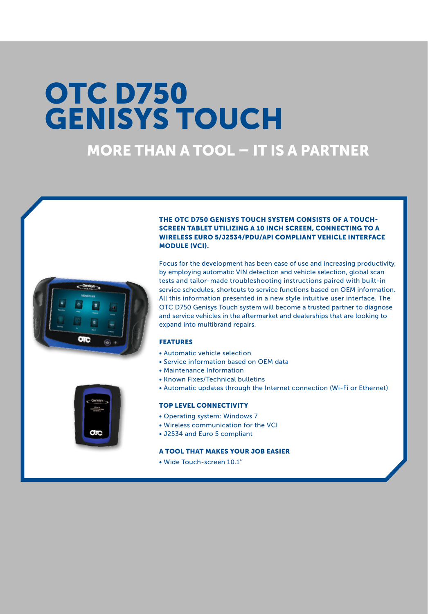## **OTC D750 GENISYS TOUCH**

### more than a tool – it is a partner





#### The OTC D750 Genisys Touch system consists of a touchscreen tablet utilizing a 10 inch screen, connecting to a wireless Euro 5/J2534/PDU/API compliant vehicle interface module (VCI).

Focus for the development has been ease of use and increasing productivity, by employing automatic VIN detection and vehicle selection, global scan tests and tailor-made troubleshooting instructions paired with built-in service schedules, shortcuts to service functions based on OEM information. All this information presented in a new style intuitive user interface. The OTC D750 Genisys Touch system will become a trusted partner to diagnose and service vehicles in the aftermarket and dealerships that are looking to expand into multibrand repairs.

#### FEATURES

- Automatic vehicle selection
- Service information based on OEM data
- Maintenance Information
- Known Fixes/Technical bulletins
- Automatic updates through the Internet connection (Wi-Fi or Ethernet)

#### TOP LEVEL CONNECTIVITY

- Operating system: Windows 7
- Wireless communication for the VCI
- J2534 and Euro 5 compliant

#### A TOOL THAT MAKES YOUR JOB EASIER

• Wide Touch-screen 10.1''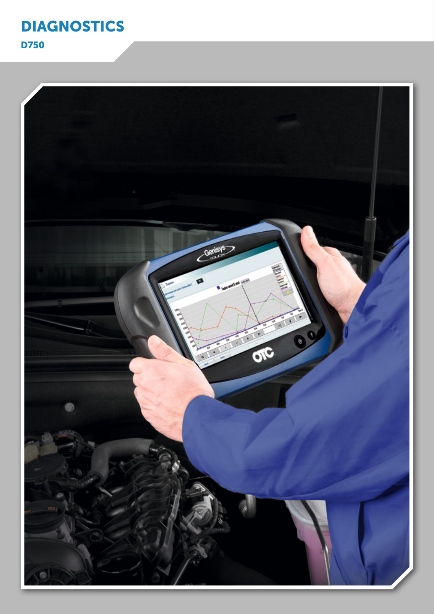

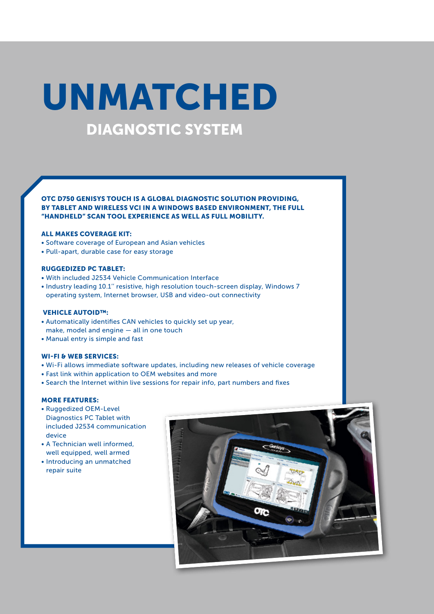## DIAGNOSTIC SYSTEM UNMATCHED

Otc d750 Genisys Touch is a global diagnostic solution providing, by tablet and wireless vci in a Windows based environment, the full "handheld" scan tool experience as well as full mobility.

#### All Makes Coverage Kit:

- Software coverage of European and Asian vehicles
- Pull-apart, durable case for easy storage

#### Ruggedized PC Tablet:

- With included J2534 Vehicle Communication Interface
- Industry leading 10.1'' resistive, high resolution touch-screen display, Windows 7 operating system, Internet browser, USB and video-out connectivity

#### Vehicle AutoID™:

- Automatically identifies CAN vehicles to quickly set up year, make, model and engine — all in one touch
- Manual entry is simple and fast

#### Wi-Fi & Web Services:

- Wi-Fi allows immediate software updates, including new releases of vehicle coverage
- Fast link within application to OEM websites and more
- Search the Internet within live sessions for repair info, part numbers and fixes

#### MORE FEATURES:

- Ruggedized OEM-Level Diagnostics PC Tablet with included J2534 communication device
- A Technician well informed, well equipped, well armed
- Introducing an unmatched repair suite

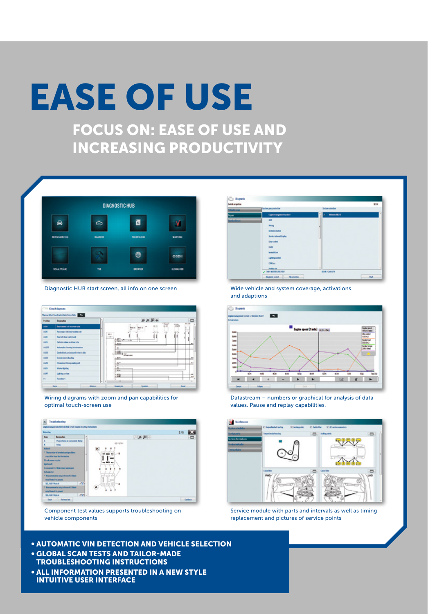# EASE OF USE

Focus ON: EASE OF USE AND increasing productivity



Diagnostic HUB start screen, all info on one screen



Wiring diagrams with zoom and pan capabilities for optimal touch-screen use



Component test values supports troubleshooting on vehicle components

Wide vehicle and system coverage, activations and adaptions



Datastream – numbers or graphical for analysis of data values. Pause and replay capabilities.



Service module with parts and intervals as well as timing replacement and pictures of service points

- Automatic VIN detection and vehicle selection • Global scan tests and tailor-made troubleshooting instructions
- All information presented in a new style intuitive user interface